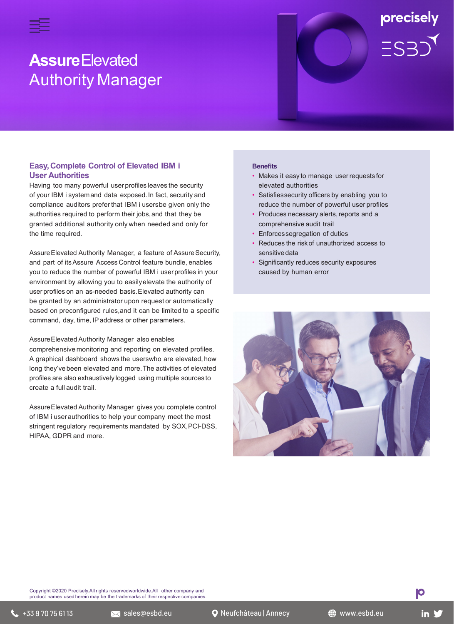

# **Assure**Elevated Authority Manager

# **Easy,Complete Control of Elevated IBM i User Authorities**

Having too many powerful user profiles leaves the security of your IBM i systemand data exposed.In fact, security and compliance auditors prefer that IBM i usersbe given only the authorities required to perform their jobs,and that they be granted additional authority only when needed and only for the time required.

Assure Elevated Authority Manager, a feature of Assure Security, and part of itsAssure Access Control feature bundle, enables you to reduce the number of powerful IBM i userprofiles in your environment by allowing you to easilyelevate the authority of user profiles on an as-needed basis.Elevated authority can be granted by an administrator upon request or automatically based on preconfigured rules,and it can be limited to a specific command, day, time, IPaddress or other parameters.

## AssureElevated Authority Manager also enables

comprehensive monitoring and reporting on elevated profiles. A graphical dashboard shows the userswho are elevated, how long they've been elevated and more.The activities of elevated profiles are also exhaustively logged using multiple sources to create a full audit trail.

AssureElevated Authority Manager gives you complete control of IBM i user authorities to help your company meet the most stringent regulatory requirements mandated by SOX,PCI-DSS, HIPAA, GDPR and more.

#### **Benefits**

• Makes it easy to manage userrequests for elevated authorities

precisely

 $ES3)$ 

- Satisfiessecurity officers by enabling you to reduce the number of powerful user profiles
- Produces necessary alerts, reports and a comprehensive audit trail
- Enforcessegregation of duties
- Reduces the riskof unauthorized access to sensitivedata
- Significantly reduces security exposures caused by human error



Copyright ©2020 Precisely.All rights reservedworldwide.All other company and product names used herein may be the trademarks of their respective companies.

**IO**